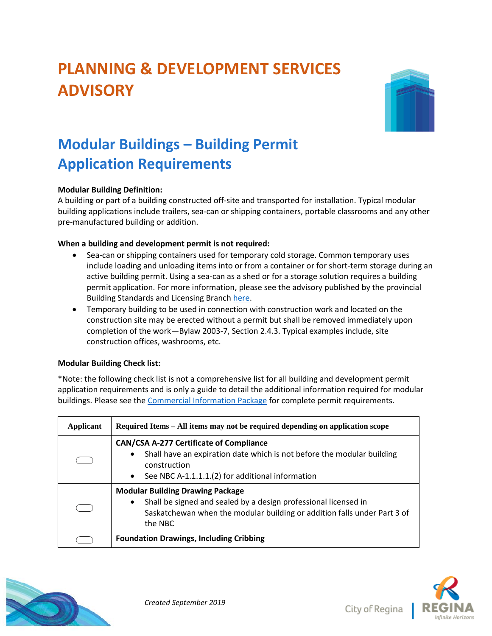# **PLANNING & DEVELOPMENT SERVICES ADVISORY**



## **Modular Buildings – Building Permit Application Requirements**

### **Modular Building Definition:**

A building or part of a building constructed off-site and transported for installation. Typical modular building applications include trailers, sea-can or shipping containers, portable classrooms and any other pre-manufactured building or addition.

#### **When a building and development permit is not required:**

- Sea-can or shipping containers used for temporary cold storage. Common temporary uses include loading and unloading items into or from a container or for short-term storage during an active building permit. Using a sea-can as a shed or for a storage solution requires a building permit application. For more information, please see the advisory published by the provincial Building Standards and Licensing Branch [here.](https://publications.saskatchewan.ca/#/products/83252)
- Temporary building to be used in connection with construction work and located on the construction site may be erected without a permit but shall be removed immediately upon completion of the work—Bylaw 2003-7, Section 2.4.3. Typical examples include, site construction offices, washrooms, etc.

#### **Modular Building Check list:**

\*Note: the following check list is not a comprehensive list for all building and development permit application requirements and is only a guide to detail the additional information required for modular buildings. Please see the [Commercial Information Package](https://www.regina.ca/export/sites/Regina.ca/bylaws-permits-licences/building-demolition/.galleries/pdfs/Commercial-Information-Package.pdf) for complete permit requirements.

| Applicant | Required Items – All items may not be required depending on application scope                                                                                                                                          |
|-----------|------------------------------------------------------------------------------------------------------------------------------------------------------------------------------------------------------------------------|
|           | <b>CAN/CSA A-277 Certificate of Compliance</b><br>Shall have an expiration date which is not before the modular building<br>$\bullet$<br>construction<br>See NBC A-1.1.1.1.(2) for additional information<br>$\bullet$ |
|           | <b>Modular Building Drawing Package</b><br>Shall be signed and sealed by a design professional licensed in<br>$\bullet$<br>Saskatchewan when the modular building or addition falls under Part 3 of<br>the NBC         |
|           | <b>Foundation Drawings, Including Cribbing</b>                                                                                                                                                                         |